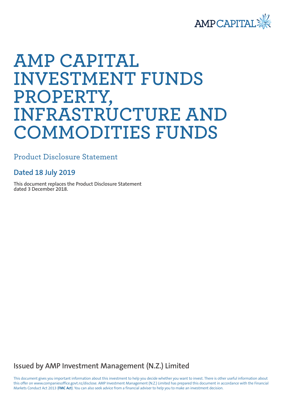

# **AMP CAPITAL INVESTMENT FUNDS PROPERTY, INFRASTRUCTURE AND COMMODITIES FUNDS**

Product Disclosure Statement

# **Dated 18 July 2019**

**This document replaces the Product Disclosure Statement dated 3 December 2018.**

**Issued by AMP Investment Management (N.Z.) Limited**

This document gives you important information about this investment to help you decide whether you want to invest. There is other useful information about this offer on www.companiesoffice.govt.nz/disclose. AMP Investment Management (N.Z.) Limited has prepared this document in accordance with the Financial Markets Conduct Act 2013 (**FMC Act**). You can also seek advice from a financial adviser to help you to make an investment decision.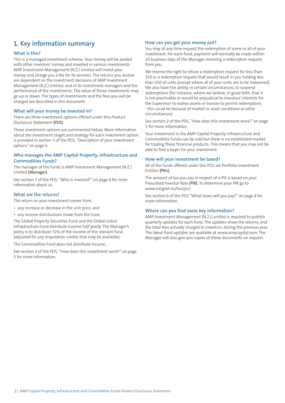# **1. Key information summary**

# **What is this?**

This is a managed investment scheme. Your money will be pooled with other investors' money and invested in various investments. AMP Investment Management (N.Z.) Limited will invest your money and charge you a fee for its services. The returns you receive are dependent on the investment decisions of AMP Investment Management (N.Z.) Limited, and of its investment managers and the performance of the investments. The value of those investments may go up or down. The types of investments and the fees you will be charged are described in this document.

### **What will your money be invested in?**

There are three investment options offered under this Product Disclosure Statement **(PDS)**.

These investment options are summarised below. More information about the investment target and strategy for each investment option is provided in section 3 of the PDS, "Description of your investment options" on page 6.

# **Who manages the AMP Capital Property, Infrastructure and Commodities Funds?**

The manager of the funds is AMP Investment Management (N.Z.) Limited **(Manager)**.

See section 7 of the PDS, "Who is involved?" on page 8 for more information about us.

# **What are the returns?**

The return on your investment comes from:

- any increase or decrease in the unit price, and
- any income distributions made from the fund.

The Global Property Securities Fund and the Global Listed Infrastructure Fund distribute income half yearly. The Manager's policy is to distribute 72% of the income of the relevant fund (adjusted for any imputation credits that may be available).

The Commodities Fund does not distribute income.

See section 2 of the PDS, "How does this investment work?" on page 5 for more information.

### **How can you get your money out?**

You may at any time request the redemption of some or all of your investment. For each fund, payment will normally be made within 10 business days of the Manager receiving a redemption request from you.

We reserve the right to refuse a redemption request for less than \$50 or a redemption request that would result in you holding less than \$50 of units (except where all of your units are to be redeemed). We also have the ability, in certain circumstances, to suspend redemptions (for instance, where we believe, in good faith, that it is not practicable or would be prejudicial to investors' interests for the Supervisor to realise assets or borrow to permit redemptions - this could be because of market or asset conditions or other circumstances).

See section 2 of the PDS, "How does this investment work?" on page 5 for more information.

Your investment in the AMP Capital Property, Infrastructure and Commodities Funds can be sold but there is no established market for trading these financial products. This means that you may not be able to find a buyer for your investment.

### **How will your investment be taxed?**

All of the funds offered under this PDS are Portfolio Investment Entities **(PIEs)**.

The amount of tax you pay in respect of a PIE is based on your Prescribed Investor Rate **(PIR)**. To determine your PIR go to www.ird.govt.nz/toii/pir/.

See section 6 of the PDS "What taxes will you pay?" on page 8 for more information.

### **Where can you find more key information?**

AMP Investment Management (N.Z.) Limited is required to publish quarterly updates for each fund. The updates show the returns, and the total fees actually charged to investors, during the previous year. The latest fund updates are available at www.ampcapital.com. The Manager will also give you copies of those documents on request.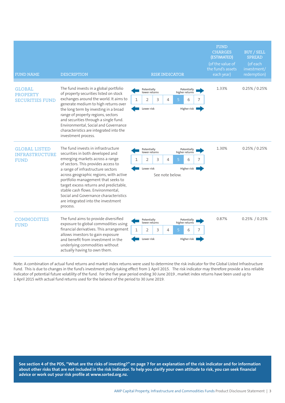| <b>FUND NAME</b>                                             | <b>DESCRIPTION</b>                                                                                                                                                                                                                                                                                                                                                                                                                              | <b>RISK INDICATOR</b>                                                                                                                                         | <b>FUND</b><br><b>BUY / SELL</b><br><b>CHARGES</b><br>(ESTIMATED)<br><b>SPREAD</b><br>(of the value of<br>(of each<br>the fund's assets<br>investment/<br>each year)<br>redemption) |
|--------------------------------------------------------------|-------------------------------------------------------------------------------------------------------------------------------------------------------------------------------------------------------------------------------------------------------------------------------------------------------------------------------------------------------------------------------------------------------------------------------------------------|---------------------------------------------------------------------------------------------------------------------------------------------------------------|-------------------------------------------------------------------------------------------------------------------------------------------------------------------------------------|
| <b>GLOBAL</b><br><b>PROPERTY</b><br><b>SECURITIES FUND</b>   | The fund invests in a global portfolio<br>of property securities listed on stock<br>exchanges around the world. It aims to<br>generate medium to high returns over<br>the long term by investing in a broad<br>range of property regions, sectors<br>and securities through a single fund.<br>Environmental, Social and Governance<br>characteristics are integrated into the<br>investment process.                                            | Potentially<br>Potentially<br>higher returns<br>lower returns<br>3<br>$\mathbf{1}$<br>2<br>4<br>5<br>7<br>6<br>Lower risk<br>Higher risk                      | 1.33%<br>$0.25\% / 0.25\%$                                                                                                                                                          |
| <b>GLOBAL LISTED</b><br><b>INFRASTRUCTURE</b><br><b>FUND</b> | The fund invests in infrastructure<br>securities in both developed and<br>emerging markets across a range<br>of sectors. This provides access to<br>a range of infrastructure sectors<br>across geographic regions, with active<br>portfolio management that seeks to<br>target excess returns and predictable,<br>stable cash flows. Environmental,<br>Social and Governance characteristics<br>are integrated into the investment<br>process. | Potentially<br>Potentially<br>lower returns<br>higher returns<br>$\overline{2}$<br>3<br>4<br>5<br>6<br>1<br>7<br>Lower risk<br>Higher risk<br>See note below. | 1.30%<br>$0.25\% / 0.25\%$                                                                                                                                                          |
| <b>COMMODITIES</b><br><b>FUND</b>                            | The fund aims to provide diversified<br>exposure to global commodities using<br>financial derivatives. This arrangement<br>allows investors to gain exposure<br>and benefit from investment in the<br>underlying commodities without<br>actually having to own them.                                                                                                                                                                            | Potentially<br>Potentially<br>lower returns<br>higher returns<br>$\mathbf{1}$<br>$\overline{2}$<br>3<br>5<br>4<br>7<br>6<br>Lower risk<br>Higher risk         | 0.87%<br>$0.25\% / 0.25\%$                                                                                                                                                          |

Note: A combination of actual fund returns and market index returns were used to determine the risk indicator for the Global Listed Infrastructure Fund. This is due to changes in the fund's investment policy taking effect from 1 April 2015. The risk indicator may therefore provide a less reliable indicator of potential future volatility of the fund. For the five year period ending 30 June 2019 , market index returns have been used up to 1 April 2015 with actual fund returns used for the balance of the period to 30 June 2019.

**See section 4 of the PDS, "What are the risks of investing?" on page 7 for an explanation of the risk indicator and for information about other risks that are not included in the risk indicator. To help you clarify your own attitude to risk, you can seek financial advice or work out your risk profile at www.sorted.org.nz.**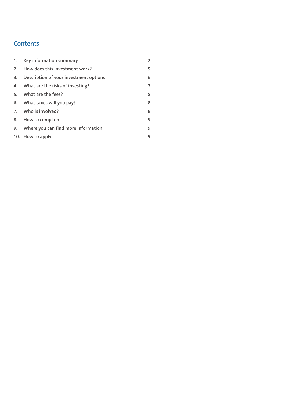# **Contents**

| 1. | Key information summary                | $\overline{2}$ |
|----|----------------------------------------|----------------|
| 2. | How does this investment work?         | 5              |
| 3. | Description of your investment options | 6              |
| 4. | What are the risks of investing?       | 7              |
| 5. | What are the fees?                     | 8              |
|    | 6. What taxes will you pay?            | 8              |
|    | 7. Who is involved?                    | 8              |
|    | 8. How to complain                     | 9              |
| 9. | Where you can find more information    | 9              |
|    | 10. How to apply                       | 9              |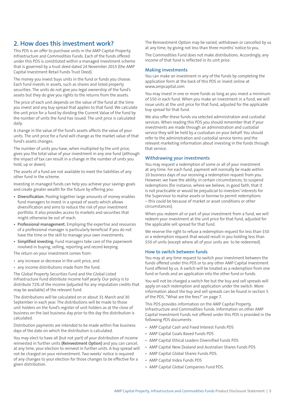# **2. How does this investment work?**

This PDS is an offer to purchase units in the AMP Capital Property, Infrastructure and Commodities Funds. Each of the funds offered under this PDS is constituted within a managed investment scheme that is governed by a trust deed dated 24 November 2015 (the AMP Capital Investment Retail Funds Trust Deed).

The money you invest buys units in the fund or funds you choose. Each fund invests in assets, such as shares and listed property securities. The units do not give you legal ownership of the fund's assets but they do give you rights to the returns from the assets.

The price of each unit depends on the value of the fund at the time you invest and any buy spread that applies to that fund. We calculate the unit price for a fund by dividing the Current Value of the fund by the number of units the fund has issued. The unit price is calculated daily.

A change in the value of the fund's assets affects the value of your units. The unit price for a fund will change as the market value of that fund's assets changes.

The number of units you have, when multiplied by the unit price, gives you the total value of your investment in any one fund (although the impact of tax can result in a change in the number of units you hold, up or down).

The assets of a fund are not available to meet the liabilities of any other fund in the scheme.

Investing in managed funds can help you achieve your savings goals and create greater wealth for the future by offering you:

- **• Diversification.** Pooling together large amounts of money enables fund managers to invest in a spread of assets which allows diversification and aims to reduce the risk of your investment portfolio. It also provides access to markets and securities that might otherwise be out of reach.
- **• Professional management.** Employing the expertise and resources of a professional manager is particularly beneficial if you do not have the time or the skill to manage your own investments.
- **• Simplified investing.** Fund managers take care of the paperwork involved in buying, selling, reporting and record keeping.

The return on your investment comes from:

- any increase or decrease in the unit price, and
- any income distributions made from the fund.

The Global Property Securities Fund and the Global Listed Infrastructure Fund distribute income half yearly. Our policy is to distribute 72% of the income (adjusted for any imputation credits that may be available) of the relevant fund.

The distributions will be calculated on or about 31 March and 30 September in each year. The distributions will be made to those unit holders on the fund's register of unit holders as at the close of business on the last business day prior to the day the distribution is calculated.

Distribution payments are intended to be made within five business days of the date on which the distribution is calculated.

You may elect to have all (but not part) of your distribution of income reinvested in further units **(Reinvestment Option)** and you can cancel, at any time, your election to reinvest in further units. A buy spread will not be charged on your reinvestment. Two weeks' notice is required of any changes to your election for those changes to be effective for a given distribution.

The Reinvestment Option may be varied, withdrawn or cancelled by us at any time, by giving not less than three months' notice to you.

The Commodities Fund does not make distributions. Accordingly, any income of that fund is reflected in its unit price.

### **Making investments**

You can make an investment in any of the funds by completing the application form at the back of this PDS or invest online at www.ampcapital.com.

You may invest in one or more funds as long as you invest a minimum of \$50 in each fund. When you make an investment in a fund, we will issue units at the unit price for that fund, adjusted for the applicable buy spread for that fund.

We also offer these funds via selected administration and custodial services. When reading this PDS you should remember that if your investments are made through an administration and custodial service they will be held by a custodian on your behalf. You should refer to the administration and custodial service terms and the relevant marketing information about investing in the funds through that service.

### **Withdrawing your investments**

You may request a redemption of some or all of your investment at any time. For each fund, payment will normally be made within 10 business days of our receiving a redemption request from you. However, we have the ability, in certain circumstances, to suspend redemptions (for instance, where we believe, in good faith, that it is not practicable or would be prejudicial to investors' interests for the Supervisor to realise assets or borrow to permit redemptions – this could be because of market or asset conditions or other circumstances).

When you redeem all or part of your investment from a fund, we will redeem your investment at the unit price for that fund, adjusted for the applicable sell spread for that fund.

We reserve the right to refuse a redemption request for less than \$50 or a redemption request that would result in you holding less than \$50 of units (except where all of your units are to be redeemed).

### **How to switch between funds**

You may at any time request to switch your investment between the funds offered under this PDS or to any other AMP Capital Investment Fund offered by us. A switch will be treated as a redemption from one fund or funds and an application into the other fund or funds.

You will not be charged a switch fee but the buy and sell spreads will apply on each redemption and application under the switch. More information about the buy and sell spreads can be found in section 5 of the PDS, "What are the fees?" on page 7.

This PDS provides information on the AMP Capital Property, Infrastructure and Commodities Funds. Information on other AMP Capital Investment Funds not offered under this PDS is provided in the following PDS documents:

- AMP Capital Cash and Fixed Interest Funds PDS
- AMP Capital Goals Based Funds PDS
- AMP Capital Ethical Leaders Diversified Funds PDS
- AMP Capital New Zealand and Australian Shares Funds PDS
- AMP Capital Global Shares Funds PDS.
- AMP Capital Index Funds PDS
- AMP Capital Global Companies Fund PDS.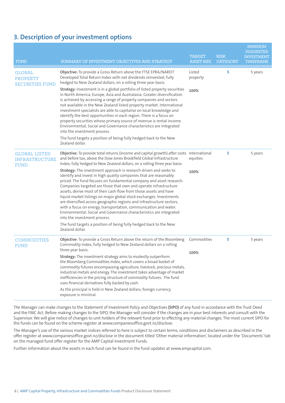# **3. Description of your investment options**

| <b>FUND</b>                                                  | SUMMARY OF INVESTMENT OBJECTIVES AND STRATEGY                                                                                                                                                                                                                                                                                                                                                                                                                                                                                                                                                                                                                                                                                                                                                                                                                                                                                                                                                                                | <b>TARGET</b><br><b>ASSET MIX</b> | <b>RISK</b><br><b>CATEGORY</b> | <b>MINIMUM</b><br><b>SUGGESTED</b><br><b>INVESTMENT</b><br><b>TIMEFRAME</b> |
|--------------------------------------------------------------|------------------------------------------------------------------------------------------------------------------------------------------------------------------------------------------------------------------------------------------------------------------------------------------------------------------------------------------------------------------------------------------------------------------------------------------------------------------------------------------------------------------------------------------------------------------------------------------------------------------------------------------------------------------------------------------------------------------------------------------------------------------------------------------------------------------------------------------------------------------------------------------------------------------------------------------------------------------------------------------------------------------------------|-----------------------------------|--------------------------------|-----------------------------------------------------------------------------|
| <b>GLOBAL</b><br><b>PROPERTY</b><br><b>SECURITIES FUND</b>   | Objective: To provide a Gross Return above the FTSE EPRA/NAREIT<br>Developed Total Return Index with net dividends reinvested, fully<br>hedged to New Zealand dollars, on a rolling three year basis.<br>Strategy: Investment is in a global portfolio of listed property securities<br>in North America, Europe, Asia and Australasia. Greater diversification<br>is achieved by accessing a range of property companies and sectors<br>not available in the New Zealand listed property market. International<br>investment specialists are able to capitalise on local knowledge and<br>identify the best opportunities in each region. There is a focus on<br>property securities whose primary source of revenue is rental income.<br>Environmental, Social and Governance characteristics are integrated<br>into the investment process.<br>The fund targets a position of being fully hedged back to the New<br>Zealand dollar.                                                                                       | Listed<br>property<br>100%        | 5                              | 5 years                                                                     |
| <b>GLOBAL LISTED</b><br><b>INFRASTRUCTURE</b><br><b>FUND</b> | Objective: To provide total returns (income and capital growth) after costs International<br>and before tax, above the Dow Jones Brookfield Global Infrastructure<br>Index, fully hedged to New Zealand dollars, on a rolling three year basis.<br>Strategy: The investment approach is research driven and seeks to<br>identify and invest in high quality companies that are reasonably<br>priced. The fund focuses on fundamental company and asset research.<br>Companies targeted are those that own and operate infrastructure<br>assets, derive most of their cash flow from those assets and have<br>liquid market listings on major global stock exchanges. Investments<br>are diversified across geographic regions and infrastructure sectors,<br>with a focus on energy, transportation, communication and water.<br>Environmental, Social and Governance characteristics are integrated<br>into the investment process.<br>The fund targets a position of being fully hedged back to the New<br>Zealand dollar. | equities<br>100%                  | 5                              | 5 years                                                                     |
| <b>COMMODITIES</b><br><b>FUND</b>                            | Objective: To provide a Gross Return above the return of the Bloomberg<br>Commodity Index, fully hedged to New Zealand dollars on a rolling<br>three year basis.<br>Strategy: The investment strategy aims to modestly outperform<br>the Bloomberg Commodities Index, which covers a broad basket of<br>commodity futures encompassing agriculture, livestock, precious metals,<br>industrial metals and energy. The investment takes advantage of market<br>inefficiencies in the pricing structure of commodity futures. The fund<br>uses financial derivatives fully backed by cash.<br>As the principal is held in New Zealand dollars, foreign currency<br>exposure is minimal.                                                                                                                                                                                                                                                                                                                                         | Commodities<br>100%               | 5                              | 5 years                                                                     |

The Manager can make changes to the Statement of Investment Policy and Objectives **(SIPO)** of any fund in accordance with the Trust Deed and the FMC Act. Before making changes to the SIPO, the Manager will consider if the changes are in your best interests and consult with the Supervisor. We will give notice of changes to unit holders of the relevant fund prior to effecting any material changes. The most current SIPO for the funds can be found on the scheme register at www.companiesoffice.govt.nz/disclose.

The Manager's use of the various market indices referred to here is subject to certain terms, conditions and disclaimers as described in the offer register at www.companiesoffice.govt.nz/disclose in the document titled 'Other material information', located under the 'Documents' tab on the managed fund offer register for the AMP Capital Investment Funds.

Further information about the assets in each fund can be found in the fund updates at www.ampcapital.com.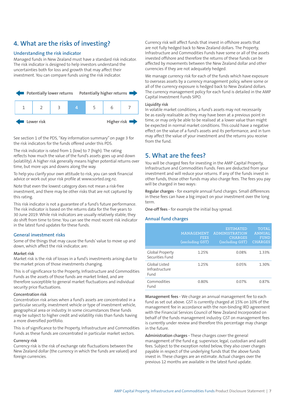# **4. What are the risks of investing?**

### **Understanding the risk indicator**

Managed funds in New Zealand must have a standard risk indicator. The risk indicator is designed to help investors understand the uncertainties both for loss and growth that may affect their investment. You can compare funds using the risk indicator.



See section 1 of the PDS, "Key information summary" on page 3 for the risk indicators for the funds offered under this PDS.

The risk indicator is rated from 1 (low) to 7 (high). The rating reflects how much the value of the fund's assets goes up and down (volatility). A higher risk generally means higher potential returns over time, but more ups and downs along the way.

To help you clarify your own attitude to risk, you can seek financial advice or work out your risk profile at www.sorted.org.nz.

Note that even the lowest category does not mean a risk-free investment, and there may be other risks that are not captured by this rating.

This risk indicator is not a guarantee of a fund's future performance. The risk indicator is based on the returns data for the five years to 30 June 2019. While risk indicators are usually relatively stable, they do shift from time to time. You can see the most recent risk indicator in the latest fund updates for these funds.

#### **General investment risks**

Some of the things that may cause the funds' value to move up and down, which affect the risk indicator, are:

#### **Market risk**

Market risk is the risk of losses in a fund's investments arising due to the market prices of those investments changing.

This is of significance to the Property, Infrastructure and Commodities Funds as the assets of those funds are market linked, and are therefore susceptible to general market fluctuations and individual security price fluctuations.

#### **Concentration risk**

Concentration risk arises when a fund's assets are concentrated in a particular security, investment vehicle or type of investment vehicle, geographical area or industry. In some circumstances these funds may be subject to higher credit and volatility risks than funds having a more diversified portfolio.

This is of significance to the Property, Infrastructure and Commodities Funds as these funds are concentrated in particular market sectors.

#### **Currency risk**

Currency risk is the risk of exchange rate fluctuations between the New Zealand dollar (the currency in which the funds are valued) and foreign currencies.

Currency risk will affect funds that invest in offshore assets that are not fully hedged back to New Zealand dollars. The Property, Infrastructure and Commodities Funds have some or all of the assets invested offshore and therefore the returns of these funds can be affected by movements between the New Zealand dollar and other currencies if they are not adequately hedged.

We manage currency risk for each of the funds which have exposure to overseas assets by a currency management policy, where some or all of the currency exposure is hedged back to New Zealand dollars. The currency management policy for each fund is detailed in the AMP Capital Investment Funds SIPO.

#### **Liquidity risk**

In volatile market conditions, a fund's assets may not necessarily be as easily realisable as they may have been at a previous point in time, or may only be able to be realised at a lower value than might be expected in normal market conditions. This could have a negative effect on the value of a fund's assets and its performance, and in turn may affect the value of your investment and the returns you receive from the fund.

# **5. What are the fees?**

You will be charged fees for investing in the AMP Capital Property, Infrastructure and Commodities Funds. Fees are deducted from your investment and will reduce your returns. If any of the funds invest in other funds, those other funds may also charge fees. The fees you pay will be charged in two ways:

**Regular charges -** for example annual fund charges. Small differences in these fees can have a big impact on your investment over the long term.

**One-off fees -** for example the initial buy spread.

# **Annual fund charges**

|                                         | MANAGEMENT<br><b>FEES</b><br>(excluding GST) | <b>ESTIMATED</b><br><b>ADMINISTRATION</b><br><b>CHARGES</b><br>(including GST) | <b>TOTAL</b><br><b>ANNUAL</b><br><b>FUND</b><br><b>CHARGES</b> |
|-----------------------------------------|----------------------------------------------|--------------------------------------------------------------------------------|----------------------------------------------------------------|
| Global Property<br>Securities Fund      | 1.25%                                        | 0.08%                                                                          | 1.33%                                                          |
| Global Listed<br>Infrastructure<br>Fund | 1.25%                                        | 0.05%                                                                          | 1.30%                                                          |
| Commodities<br>Fund                     | 0.80%                                        | 0.07%                                                                          | 0.87%                                                          |

**Management fees -** We charge an annual management fee to each fund as set out above. GST is currently charged at 15% on 10% of the management fee in accordance with the non-binding IRD agreement with the Financial Services Council of New Zealand Incorporated on behalf of the funds management industry. GST on management fees is currently under review and therefore this percentage may change in the future.

**Administration charges -** These charges cover the general management of the fund e.g. supervisor, legal, custodian and audit fees. Subject to the exception noted below, they also cover charges payable in respect of the underlying funds that the above funds invest in. These charges are an estimate. Actual charges over the previous 12 months are available in the latest fund update.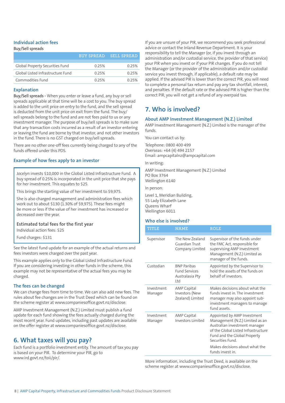#### **Individual action fees Buy/Sell spreads**

| buy/Sell spreads                  |                   |             |  |  |
|-----------------------------------|-------------------|-------------|--|--|
|                                   | <b>BUY SPREAD</b> | SELL SPREAD |  |  |
|                                   |                   |             |  |  |
| Global Property Securities Fund   | 0.25%             | 0.25%       |  |  |
| Global Listed Infrastructure Fund | 0.25%             | 0.25%       |  |  |
| Commodities Fund                  | 0.25%             | 0.25%       |  |  |

### **Explanation**

**Buy/Sell spreads -** When you enter or leave a fund, any buy or sell spreads applicable at that time will be a cost to you. The buy spread is added to the unit price on entry to the fund, and the sell spread is deducted from the unit price on exit from the fund. The buy/ sell spreads belong to the fund and are not fees paid to us or any investment manager. The purpose of buy/sell spreads is to make sure that any transaction costs incurred as a result of an investor entering or leaving the fund are borne by that investor, and not other investors in the fund. There is no GST charged on buy/sell spreads.

There are no other one-off fees currently being charged to any of the funds offered under this PDS.

# **Example of how fees apply to an investor**

Jocelyn invests \$10,000 in the Global Listed Infrastructure Fund. A buy spread of 0.25% is incorporated in the unit price that she pays for her investment. This equates to \$25.

This brings the starting value of her investment to \$9,975.

She is also charged management and administration fees which work out to about \$130 (1.30% of \$9,975). These fees might be more or less if the value of her investment has increased or decreased over the year.

### **Estimated total fees for the first year**

Individual action fees: \$25

Fund charges: \$131

See the latest fund update for an example of the actual returns and fees investors were charged over the past year.

This example applies only to the Global Listed Infrastructure Fund. If you are considering investing in other funds in the scheme, this example may not be representative of the actual fees you may be charged.

### **The fees can be changed**

We can change fees from time to time. We can also add new fees. The rules about fee changes are in the Trust Deed which can be found on the scheme register at www.companiesoffice.govt.nz/disclose.

AMP Investment Management (N.Z.) Limited must publish a fund update for each fund showing the fees actually charged during the most recent year. Fund updates, including past updates are available on the offer register at www.companiesoffice.govt.nz/disclose.

# **6. What taxes will you pay?**

Each fund is a portfolio investment entity. The amount of tax you pay is based on your PIR. To determine your PIR, go to www.ird.govt.nz/toii/pir/.

If you are unsure of your PIR, we recommend you seek professional advice or contact the Inland Revenue Department. It is your responsibility to tell the Manager (or, if you invest through an administration and/or custodial service, the provider of that service) your PIR when you invest or if your PIR changes. If you do not tell the Manager (or the provider of the administration and/or custodial service you invest through, if applicable), a default rate may be applied. If the advised PIR is lower than the correct PIR, you will need to complete a personal tax return and pay any tax shortfall, interest, and penalties. If the default rate or the advised PIR is higher than the correct PIR, you will not get a refund of any overpaid tax.

# **7. Who is involved?**

# **About AMP Investment Management (N.Z.) Limited**

AMP Investment Management (N.Z.) Limited is the manager of the funds.

You can contact us by:

Telephone: 0800 400 499 Overseas: +64 (4) 494 2157 Email: ampcapitalnz@ampcapital.com

In writing:

AMP Investment Management (N.Z.) Limited PO Box 3764 Wellington 6140

In person:

Level 1, Meridian Building, 55 Lady Elizabeth Lane Queens Wharf Wellington 6011

### **Who else is involved?**

| TITLE                 | <b>NAME</b>                                                          | <b>ROLE</b>                                                                                                                                                                                |
|-----------------------|----------------------------------------------------------------------|--------------------------------------------------------------------------------------------------------------------------------------------------------------------------------------------|
| Supervisor            | The New Zealand<br>Guardian Trust<br>Company Limited                 | Supervisor of the funds under<br>the FMC Act, responsible for<br>supervising AMP Investment<br>Management (N.Z.) Limited as<br>manager of the funds.                                       |
| Custodian             | <b>BNP Paribas</b><br><b>Fund Services</b><br>Australasia Pty<br>Itd | Appointed by the Supervisor to<br>hold the assets of the funds on<br>behalf of investors.                                                                                                  |
| Investment<br>Manager | <b>AMP Capital</b><br>Investors (New<br>Zealand) Limited             | Makes decisions about what the<br>funds invest in The investment<br>manager may also appoint sub-<br>investment managers to manage<br>fund assets.                                         |
| Investment<br>Manager | AMP Capital<br>Investors Limited                                     | Appointed by AMP Investment<br>Management (N.Z.) Limited as an<br>Australian investment manager<br>of the Global Listed Infrastructure<br>Fund and the Global Property<br>Securities Fund. |
|                       |                                                                      | Makes decisions about what the<br>funds invest in.                                                                                                                                         |

More information, including the Trust Deed, is available on the scheme register at www.companiesoffice.govt.nz/disclose.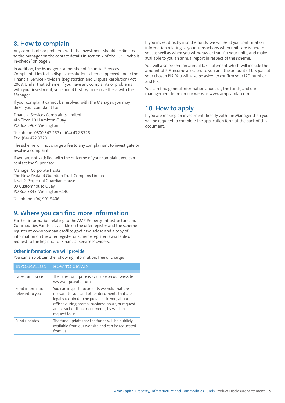# **8. How to complain**

Any complaints or problems with the investment should be directed to the Manager on the contact details in section 7 of the PDS, "Who is involved?" on page 8.

In addition, the Manager is a member of Financial Services Complaints Limited, a dispute resolution scheme approved under the Financial Service Providers (Registration and Dispute Resolution) Act 2008. Under that scheme, if you have any complaints or problems with your investment, you should first try to resolve these with the Manager.

If your complaint cannot be resolved with the Manager, you may direct your complaint to:

Financial Services Complaints Limited 4th Floor, 101 Lambton Quay PO Box 5967, Wellington

Telephone: 0800 347 257 or (04) 472 3725 Fax: (04) 472 3728

The scheme will not charge a fee to any complainant to investigate or resolve a complaint.

If you are not satisfied with the outcome of your complaint you can contact the Supervisor:

Manager Corporate Trusts The New Zealand Guardian Trust Company Limited Level 2, Perpetual Guardian House 99 Customhouse Quay PO Box 3845, Wellington 6140

Telephone: (04) 901 5406

# **9. Where you can find more information**

Further information relating to the AMP Property, Infrastructure and Commodities Funds is available on the offer register and the scheme register at www.companiesoffice.govt.nz/disclose and a copy of information on the offer register or scheme register is available on request to the Registrar of Financial Service Providers.

# **Other information we will provide**

You can also obtain the following information, free of charge:

| <b>HOW TO OBTAIN</b>                                                                                                                                                                                                                                              |
|-------------------------------------------------------------------------------------------------------------------------------------------------------------------------------------------------------------------------------------------------------------------|
|                                                                                                                                                                                                                                                                   |
| The latest unit price is available on our website<br>www.ampcapital.com.                                                                                                                                                                                          |
| You can inspect documents we hold that are.<br>relevant to you, and other documents that are<br>legally required to be provided to you, at our<br>offices during normal business hours, or request<br>an extract of those documents, by written<br>request to us. |
| The fund updates for the funds will be publicly<br>available from our website and can be requested<br>from us.                                                                                                                                                    |
|                                                                                                                                                                                                                                                                   |

If you invest directly into the funds, we will send you confirmation information relating to your transactions when units are issued to you, as well as when you withdraw or transfer your units, and make available to you an annual report in respect of the scheme.

You will also be sent an annual tax statement which will include the amount of PIE income allocated to you and the amount of tax paid at your chosen PIR. You will also be asked to confirm your IRD number and PIR.

You can find general information about us, the funds, and our management team on our website www.ampcapital.com.

# **10. How to apply**

If you are making an investment directly with the Manager then you will be required to complete the application form at the back of this document.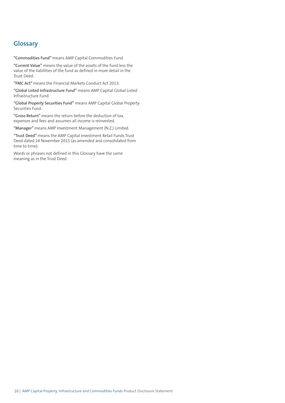# **Glossary**

**"Commodities Fund"** means AMP Capital Commodities Fund.

**"Current Value"** means the value of the assets of the fund less the value of the liabilities of the fund as defined in more detail in the Trust Deed.

**"FMC Act"** means the Financial Markets Conduct Act 2013.

**"Global Listed Infrastructure Fund"** means AMP Capital Global Listed Infrastructure Fund.

**"Global Property Securities Fund"** means AMP Capital Global Property Securities Fund.

**"Gross Return"** means the return before the deduction of tax, expenses and fees and assumes all income is reinvested.

**"Manager"** means AMP Investment Management (N.Z.) Limited.

**"Trust Deed"** means the AMP Capital Investment Retail Funds Trust Deed dated 24 November 2015 (as amended and consolidated from time to time).

Words or phrases not defined in this Glossary have the same meaning as in the Trust Deed.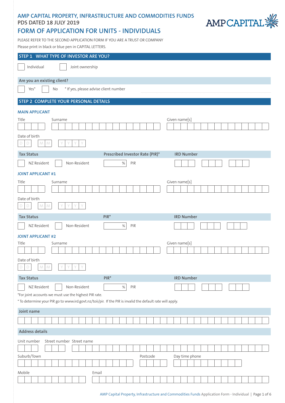# **AMP CAPITAL PROPERTY, INFRASTRUCTURE AND COMMODITIES FUNDS PDS DATED 18 JULY 2019**



# **FORM OF APPLICATION FOR UNITS - INDIVIDUALS**

PLEASE REFER TO THE SECOND APPLICATION FORM IF YOU ARE A TRUST OR COMPANY Please print in black or blue pen in CAPITAL LETTERS.

| STEP 1 WHAT TYPE OF INVESTOR ARE YOU?                                                                      |                   |  |  |  |  |
|------------------------------------------------------------------------------------------------------------|-------------------|--|--|--|--|
| Individual<br>Joint ownership                                                                              |                   |  |  |  |  |
| Are you an existing client?                                                                                |                   |  |  |  |  |
| * If yes, please advise client number<br>Yes*<br>No                                                        |                   |  |  |  |  |
| STEP 2 COMPLETE YOUR PERSONAL DETAILS                                                                      |                   |  |  |  |  |
| <b>MAIN APPLICANT</b>                                                                                      |                   |  |  |  |  |
| Given name[s]<br>Surname<br>Title                                                                          |                   |  |  |  |  |
|                                                                                                            |                   |  |  |  |  |
| Date of birth<br>${\cal N}$<br>Y<br>M<br>Y<br>D                                                            |                   |  |  |  |  |
| Prescribed Investor Rate (PIR)*<br><b>Tax Status</b>                                                       | <b>IRD Number</b> |  |  |  |  |
| Non-Resident<br>PIR<br>NZ Resident<br>$\%$                                                                 |                   |  |  |  |  |
| <b>JOINT APPLICANT #1</b>                                                                                  |                   |  |  |  |  |
| Given name[s]<br>Title<br>Surname                                                                          |                   |  |  |  |  |
|                                                                                                            |                   |  |  |  |  |
| Date of birth<br>M<br>Y<br>Y<br>$\Box$<br>M<br>D                                                           |                   |  |  |  |  |
| $PIR*$<br><b>Tax Status</b>                                                                                | <b>IRD Number</b> |  |  |  |  |
| Non-Resident<br>NZ Resident<br>$\%$<br>PIR                                                                 |                   |  |  |  |  |
| <b>JOINT APPLICANT #2</b>                                                                                  |                   |  |  |  |  |
| Given name[s]<br>Title<br>Surname                                                                          |                   |  |  |  |  |
|                                                                                                            |                   |  |  |  |  |
| Date of birth<br>$\mathsf{D}_\parallel$<br>Y Y<br>Y<br>$M\, \,M$<br>Y<br>$\mathsf{D}\,$                    |                   |  |  |  |  |
| <b>Tax Status</b><br>$PIR*$                                                                                | <b>IRD Number</b> |  |  |  |  |
| NZ Resident<br>Non-Resident<br>PIR<br>$\%$                                                                 |                   |  |  |  |  |
| *For joint accounts we must use the highest PIR rate.                                                      |                   |  |  |  |  |
| * To determine your PIR go to www.ird.govt.nz/toii/pir. If the PIR is invalid the default rate will apply. |                   |  |  |  |  |
| Joint name                                                                                                 |                   |  |  |  |  |
|                                                                                                            |                   |  |  |  |  |
| <b>Address details</b>                                                                                     |                   |  |  |  |  |
| Street number Street name<br>Unit number                                                                   |                   |  |  |  |  |
|                                                                                                            |                   |  |  |  |  |
| Suburb/Town<br>Postcode                                                                                    | Day time phone    |  |  |  |  |
|                                                                                                            |                   |  |  |  |  |
| Mobile<br>Email                                                                                            |                   |  |  |  |  |
|                                                                                                            |                   |  |  |  |  |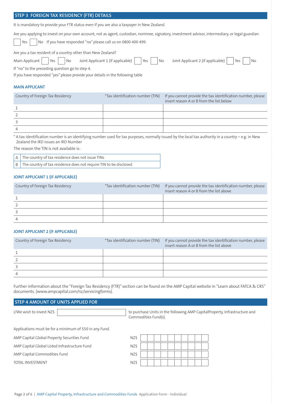# **STEP 3 FOREIGN TAX RESIDENCY (FTR) DETAILS**

It is mandatory to provide your FTR status even if you are also a taxpayer in New Zealand.

Are you applying to invest on your own account, not as agent, custodian, nominee, signatory, investment advisor, intermediary, or legal guardian

Yes  $\parallel$  No If you have responded "no" please call us on 0800 400 499.

Are you a tax resident of a country other than New Zealand?

| Main Applicant $\Box$ Yes $\Box$ No Joint Applicant 1 (if applicable) $\Box$ Yes $\Box$ No Joint Applicant 2 (if applicable) $\Box$ Yes $\Box$ No |  |  |  |
|---------------------------------------------------------------------------------------------------------------------------------------------------|--|--|--|
|                                                                                                                                                   |  |  |  |

If "no" to the preceding question go to step 4.

If you have responded "yes" please provide your details in the following table

#### **MAIN APPLICANT**

| Country of Foreign Tax Residency | *Tax identification number (TIN) | If you cannot provide the tax identification number, please<br>insert reason A or B from the list below |
|----------------------------------|----------------------------------|---------------------------------------------------------------------------------------------------------|
|                                  |                                  |                                                                                                         |
|                                  |                                  |                                                                                                         |
|                                  |                                  |                                                                                                         |
|                                  |                                  |                                                                                                         |

\* A tax identification number is an identifying number used for tax purposes, normally issued by the local tax authority in a country – e.g. in New Zealand the IRD issues an IRD Number

The reason the TIN is not available is:

|  | A   The country of tax residence does not issue TINs                              |
|--|-----------------------------------------------------------------------------------|
|  | $\mid$ B $\mid$ The country of tax residence does not require TIN to be disclosed |

#### **JOINT APPLICANT 1 (IF APPLICABLE)**

| Country of Foreign Tax Residency | *Tax identification number (TIN) If you cannot provide the tax identification number, please<br>insert reason A or B from the list above |
|----------------------------------|------------------------------------------------------------------------------------------------------------------------------------------|
|                                  |                                                                                                                                          |
|                                  |                                                                                                                                          |
|                                  |                                                                                                                                          |
|                                  |                                                                                                                                          |

#### **JOINT APPLICANT 2 (IF APPLICABLE)**

| Country of Foreign Tax Residency | *Tax identification number (TIN) If you cannot provide the tax identification number, please<br>insert reason A or B from the list above |
|----------------------------------|------------------------------------------------------------------------------------------------------------------------------------------|
|                                  |                                                                                                                                          |
|                                  |                                                                                                                                          |
|                                  |                                                                                                                                          |
|                                  |                                                                                                                                          |

Further information about the "Foreign Tax Residency (FTR)" section can be found on the AMP Capital website in "Learn about FATCA & CRS" documents. (www.ampcapital.com/nz/servicingforms).

### **STEP 4 AMOUNT OF UNITS APPLIED FOR**

I/We wish to invest NZ\$ Commodities Fund(s).

Applications must be for a minimum of \$50 in any Fund.

AMP Capital Global Property Securities Fund

AMP Capital Global Listed Infrastructure Fund

AMP Capital Commodities Fund NAMP Capital Commodities Fund

TOTAL INVESTMENT NAMEL AND TOTAL INVESTMENT

| JZ\$ |  |  |  |  |  |
|------|--|--|--|--|--|
| JZ\$ |  |  |  |  |  |
| JZ\$ |  |  |  |  |  |
| JZ\$ |  |  |  |  |  |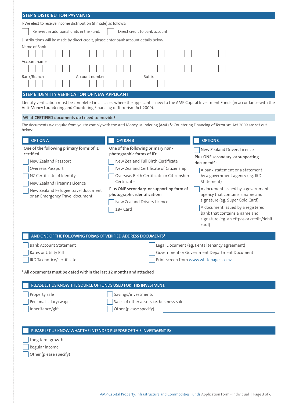| <b>STEP 5 DISTRIBUTION PAYMENTS</b>                                                                                                                                                                                                                                                                                                            |                                                                                                                                                                                                                                                                                                                                   |                                                                                                                                                                                                                                                                                                                                                                                                                                                          |  |  |  |
|------------------------------------------------------------------------------------------------------------------------------------------------------------------------------------------------------------------------------------------------------------------------------------------------------------------------------------------------|-----------------------------------------------------------------------------------------------------------------------------------------------------------------------------------------------------------------------------------------------------------------------------------------------------------------------------------|----------------------------------------------------------------------------------------------------------------------------------------------------------------------------------------------------------------------------------------------------------------------------------------------------------------------------------------------------------------------------------------------------------------------------------------------------------|--|--|--|
| I/We elect to receive income distribution (if made) as follows:                                                                                                                                                                                                                                                                                |                                                                                                                                                                                                                                                                                                                                   |                                                                                                                                                                                                                                                                                                                                                                                                                                                          |  |  |  |
| Reinvest in additional units in the Fund.<br>Direct credit to bank account.                                                                                                                                                                                                                                                                    |                                                                                                                                                                                                                                                                                                                                   |                                                                                                                                                                                                                                                                                                                                                                                                                                                          |  |  |  |
| Distributions will be made by direct credit, please enter bank account details below:                                                                                                                                                                                                                                                          |                                                                                                                                                                                                                                                                                                                                   |                                                                                                                                                                                                                                                                                                                                                                                                                                                          |  |  |  |
| Name of Bank                                                                                                                                                                                                                                                                                                                                   |                                                                                                                                                                                                                                                                                                                                   |                                                                                                                                                                                                                                                                                                                                                                                                                                                          |  |  |  |
|                                                                                                                                                                                                                                                                                                                                                |                                                                                                                                                                                                                                                                                                                                   |                                                                                                                                                                                                                                                                                                                                                                                                                                                          |  |  |  |
| Account name                                                                                                                                                                                                                                                                                                                                   |                                                                                                                                                                                                                                                                                                                                   |                                                                                                                                                                                                                                                                                                                                                                                                                                                          |  |  |  |
|                                                                                                                                                                                                                                                                                                                                                |                                                                                                                                                                                                                                                                                                                                   |                                                                                                                                                                                                                                                                                                                                                                                                                                                          |  |  |  |
| Bank/Branch<br>Account number<br>Suffix                                                                                                                                                                                                                                                                                                        |                                                                                                                                                                                                                                                                                                                                   |                                                                                                                                                                                                                                                                                                                                                                                                                                                          |  |  |  |
|                                                                                                                                                                                                                                                                                                                                                |                                                                                                                                                                                                                                                                                                                                   |                                                                                                                                                                                                                                                                                                                                                                                                                                                          |  |  |  |
| STEP 6 IDENTITY VERIFICATION OF NEW APPLICANT                                                                                                                                                                                                                                                                                                  |                                                                                                                                                                                                                                                                                                                                   |                                                                                                                                                                                                                                                                                                                                                                                                                                                          |  |  |  |
| Identity verification must be completed in all cases where the applicant is new to the AMP Capital Investment Funds (in accordance with the<br>Anti-Money Laundering and Countering Financing of Terrorism Act 2009).                                                                                                                          |                                                                                                                                                                                                                                                                                                                                   |                                                                                                                                                                                                                                                                                                                                                                                                                                                          |  |  |  |
| What CERTIFIED documents do I need to provide?                                                                                                                                                                                                                                                                                                 |                                                                                                                                                                                                                                                                                                                                   |                                                                                                                                                                                                                                                                                                                                                                                                                                                          |  |  |  |
| below:                                                                                                                                                                                                                                                                                                                                         | The documents we require from you to comply with the Anti Money Laundering (AML) & Countering Financing of Terrorism Act 2009 are set out                                                                                                                                                                                         |                                                                                                                                                                                                                                                                                                                                                                                                                                                          |  |  |  |
| <b>OPTION A</b>                                                                                                                                                                                                                                                                                                                                | <b>OPTION B</b>                                                                                                                                                                                                                                                                                                                   | <b>OPTION C</b>                                                                                                                                                                                                                                                                                                                                                                                                                                          |  |  |  |
| One of the following primary forms of ID<br>certified:<br>New Zealand Passport<br>Overseas Passport<br>NZ Certificate of Identity<br>New Zealand Firearms Licence<br>New Zealand Refugee travel document<br>or an Emergency Travel document<br>AND ONE OF THE FOLLOWING FORMS OF VERIFIED ADDRESS DOCUMENTS*:<br><b>Bank Account Statement</b> | One of the following primary non-<br>photographic forms of ID:<br>New Zealand Full Birth Certificate<br>New Zealand Certificate of Citizenship<br>Overseas Birth Certificate or Citizenship<br>Certificate<br>Plus ONE secondary or supporting form of<br>photographic identification:<br>New Zealand Drivers Licence<br>18+ Card | New Zealand Drivers Licence<br>Plus ONE secondary or supporting<br>document*:<br>A bank statement or a statement<br>by a government agency (eg. IRD<br>Statement)<br>A document issued by a government<br>agency that contains a name and<br>signature (eg. Super Gold Card)<br>A document issued by a registered<br>bank that contains a name and<br>signature (eg. an eftpos or credit/debit<br>card)<br>Legal Document (eg. Rental tenancy agreement) |  |  |  |
| Rates or Utility Bill                                                                                                                                                                                                                                                                                                                          |                                                                                                                                                                                                                                                                                                                                   | Government or Government Department Document                                                                                                                                                                                                                                                                                                                                                                                                             |  |  |  |
| IRD Tax notice/certificate                                                                                                                                                                                                                                                                                                                     |                                                                                                                                                                                                                                                                                                                                   | Print screen from www.whitepages.co.nz                                                                                                                                                                                                                                                                                                                                                                                                                   |  |  |  |
| * All documents must be dated within the last 12 months and attached                                                                                                                                                                                                                                                                           |                                                                                                                                                                                                                                                                                                                                   |                                                                                                                                                                                                                                                                                                                                                                                                                                                          |  |  |  |
|                                                                                                                                                                                                                                                                                                                                                |                                                                                                                                                                                                                                                                                                                                   |                                                                                                                                                                                                                                                                                                                                                                                                                                                          |  |  |  |
| PLEASE LET US KNOW THE SOURCE OF FUNDS USED FOR THIS INVESTMENT:                                                                                                                                                                                                                                                                               |                                                                                                                                                                                                                                                                                                                                   |                                                                                                                                                                                                                                                                                                                                                                                                                                                          |  |  |  |
| Property sale                                                                                                                                                                                                                                                                                                                                  | Savings/investments                                                                                                                                                                                                                                                                                                               |                                                                                                                                                                                                                                                                                                                                                                                                                                                          |  |  |  |
| Personal salary/wages                                                                                                                                                                                                                                                                                                                          | Sales of other assets i.e. business sale                                                                                                                                                                                                                                                                                          |                                                                                                                                                                                                                                                                                                                                                                                                                                                          |  |  |  |
| Inheritance/gift                                                                                                                                                                                                                                                                                                                               | Other (please specify)                                                                                                                                                                                                                                                                                                            |                                                                                                                                                                                                                                                                                                                                                                                                                                                          |  |  |  |
|                                                                                                                                                                                                                                                                                                                                                |                                                                                                                                                                                                                                                                                                                                   |                                                                                                                                                                                                                                                                                                                                                                                                                                                          |  |  |  |
| PLEASE LET US KNOW WHAT THE INTENDED PURPOSE OF THIS INVESTMENT IS:                                                                                                                                                                                                                                                                            |                                                                                                                                                                                                                                                                                                                                   |                                                                                                                                                                                                                                                                                                                                                                                                                                                          |  |  |  |
| Long term growth                                                                                                                                                                                                                                                                                                                               |                                                                                                                                                                                                                                                                                                                                   |                                                                                                                                                                                                                                                                                                                                                                                                                                                          |  |  |  |
| Regular income                                                                                                                                                                                                                                                                                                                                 |                                                                                                                                                                                                                                                                                                                                   |                                                                                                                                                                                                                                                                                                                                                                                                                                                          |  |  |  |
| Other (please specify)                                                                                                                                                                                                                                                                                                                         |                                                                                                                                                                                                                                                                                                                                   |                                                                                                                                                                                                                                                                                                                                                                                                                                                          |  |  |  |
|                                                                                                                                                                                                                                                                                                                                                |                                                                                                                                                                                                                                                                                                                                   |                                                                                                                                                                                                                                                                                                                                                                                                                                                          |  |  |  |
|                                                                                                                                                                                                                                                                                                                                                |                                                                                                                                                                                                                                                                                                                                   |                                                                                                                                                                                                                                                                                                                                                                                                                                                          |  |  |  |
|                                                                                                                                                                                                                                                                                                                                                |                                                                                                                                                                                                                                                                                                                                   |                                                                                                                                                                                                                                                                                                                                                                                                                                                          |  |  |  |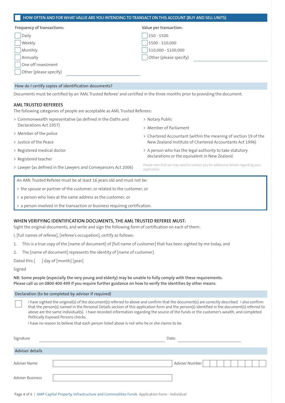| Frequency of transactions:                                                                                                                                                                                                                                                                                            | Value per transaction:                                                                                                                                               |
|-----------------------------------------------------------------------------------------------------------------------------------------------------------------------------------------------------------------------------------------------------------------------------------------------------------------------|----------------------------------------------------------------------------------------------------------------------------------------------------------------------|
| Daily                                                                                                                                                                                                                                                                                                                 | $$50 - $500$                                                                                                                                                         |
| Weekly                                                                                                                                                                                                                                                                                                                | \$500 - \$10,000                                                                                                                                                     |
| Monthly                                                                                                                                                                                                                                                                                                               | \$10,000 - \$100,000                                                                                                                                                 |
| Annually                                                                                                                                                                                                                                                                                                              | Other (please specify)                                                                                                                                               |
| One off investment                                                                                                                                                                                                                                                                                                    |                                                                                                                                                                      |
| Other (please specify)                                                                                                                                                                                                                                                                                                |                                                                                                                                                                      |
| How do I certify copies of identification documents?                                                                                                                                                                                                                                                                  |                                                                                                                                                                      |
| Documents must be certified by an 'AML Trusted Referee' and certified in the three months prior to providing the document.                                                                                                                                                                                            |                                                                                                                                                                      |
| <b>AML TRUSTED REFEREES</b>                                                                                                                                                                                                                                                                                           |                                                                                                                                                                      |
|                                                                                                                                                                                                                                                                                                                       |                                                                                                                                                                      |
|                                                                                                                                                                                                                                                                                                                       | > Notary Public                                                                                                                                                      |
| Declarations Act 1957)                                                                                                                                                                                                                                                                                                | > Member of Parliament                                                                                                                                               |
|                                                                                                                                                                                                                                                                                                                       |                                                                                                                                                                      |
|                                                                                                                                                                                                                                                                                                                       | New Zealand Institute of Chartered Accountants Act 1996)                                                                                                             |
|                                                                                                                                                                                                                                                                                                                       | > A person who has the legal authority to take statutory                                                                                                             |
|                                                                                                                                                                                                                                                                                                                       | declarations or the equivalent in New Zealand.                                                                                                                       |
| The following categories of people are acceptable as AML Trusted Referees:<br>> Commonwealth representative (as defined in the Oaths and<br>> Member of the police<br>> Justice of the Peace<br>> Registered medical doctor<br>> Registered teacher<br>> Lawyer (as defined in the Lawyers and Conveyancers Act 2006) | > Chartered Accountant (within the meaning of section 19 of the<br>Please note that we may need to contact you for additional details regarding your<br>application. |
| An AML Trusted Referee must be at least 16 years old and must not be:                                                                                                                                                                                                                                                 |                                                                                                                                                                      |
| > the spouse or partner of the customer; or related to the customer; or                                                                                                                                                                                                                                               |                                                                                                                                                                      |

> a person involved in the transaction or business requiring certification.

### **WHEN VERIFYING IDENTIFICATION DOCUMENTS, THE AML TRUSTED REFEREE MUST:**

Sight the original documents, and write and sign the following form of certification on each of them:

I, [full names of referee], [referee's occupation], certify as follows:

- 1. This is a true copy of the [name of document] of [full name of customer] that has been sighted by me today, and
- 2. The [name of document] represents the identity of [name of customer].

Dated this  $\begin{bmatrix} 1 & 1 \\ 0 & 1 \end{bmatrix}$  day of  $\begin{bmatrix} 1 & 1 \\ 0 & 1 \end{bmatrix}$  [year]

### Signed

**NB: Some people (especially the very young and elderly) may be unable to fully comply with these requirements. Please call us on 0800 400 499 if you require further guidance on how to verify the identities by other means**.

#### **Declaration (to be completed by adviser if required)**

| I have sighted the original(s) of the document(s) referred to above and confirm that the document(s) are correctly described. I also confirm  |
|-----------------------------------------------------------------------------------------------------------------------------------------------|
| that the person(s) named in the Personal Details section of this application form and the person(s) identified in the document(s) referred to |
| above are the same individual(s). I have recorded information regarding the source of the funds or the customer's wealth, and completed       |
| Politically Exposed Persons checks.                                                                                                           |

I have no reason to believe that each person listed above is not who he or she claims to be.

| Signature        | Date: |                |
|------------------|-------|----------------|
| Adviser details  |       |                |
| Adviser Name     |       | Adviser Number |
| Adviser Business |       |                |

Page 4 of 6 | AMP Capital Property, Infrastructure and Commodities Funds Application Form - Individual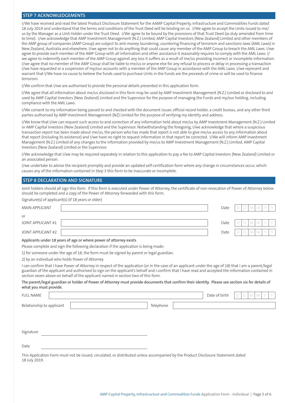#### **STEP 7 ACKNOWLEDGEMENTS**

I/We have received and read the latest Product Disclosure Statement for the AAMP Capital Property, Infrastructure and Commodities Funds dated 18 July 2019 and understand that the terms and conditions of the Trust Deed will be binding on us. I/We agree to accept the Units issued to me/ us by the Manager as a Unit Holder under the Trust Deed. I/We agree to be bound by the provisions of that Trust Deed (as duly amended from time to time). I/we acknowledge that AMP Investment Management (N.Z.) Limited, AMP Capital Investors (New Zealand) Limited and other members of the AMP group of companies (AMP Group) are subject to anti-money laundering, countering financing of terrorism and sanctions laws (AML Laws) in New Zealand, Australia and elsewhere. I/we agree not to do anything that could cause any member of the AMP Group to breach the AML Laws. I/we agree to provide each member of the AMP Group with all information and other assistance it reasonably requires to comply with the AML Laws. I/ we agree to indemnify each member of the AMP Group against any loss it suffers as a result of me/us providing incorrect or incomplete information. I/we agree that no member of the AMP Group shall be liable to me/us or anyone else for any refusal to process or delay in processing a transaction I/we have requested or a suspension of my/our accounts with a member of the AMP Group in accordance with the AML Laws. I/we represent and warrant that I/We have no cause to believe the funds used to purchase Units in the Funds are the proceeds of crime or will be used to finance terrorism.

I/We confirm that I/we are authorised to provide the personal details presented in this application form.

I/We agree that all information about me/us disclosed in this form may be used by AMP Investment Management (N.Z.) Limited or disclosed to and used by AMP Capital Investors (New Zealand) Limited and the Supervisor for the purpose of managing the Funds and my/our holding, including compliance with the AML Laws.

I/We consent to my information being passed to and checked with the document issuer, official record holder, a credit bureau, and any other third parties authorised by AMP Investment Management (NZ) Limited for the purpose of verifying my identity and address.

I/We know that I/we can request such access to and correction of any information held about me/us by AMP Investment Management (N.Z.) Limited or AMP Capital Investors (New Zealand) Limited and the Supervisor. Notwithstanding the foregoing, I/we acknowledge that where a suspicious transaction report has been made about me/us, the person who has made that report is not able to give me/us access to any information about that report (including its existence) and I/we have no right to request information in that report be corrected. I/We will inform AMP Investment Management (N.Z.) Limited of any changes to the information provided by me/us to AMP Investment Management (N.Z.) Limited, AMP Capital Investors (New Zealand) Limited or the Supervisor.

I/We acknowledge that I/we may be required separately in relation to this application to pay a fee to AMP Capital Investors (New Zealand) Limited or an associated person.

I/we undertake to advise the recipient promptly and provide an updated self-certification form where any change in circumstances occur, which causes any of the information contained in Step 3 this form to be inaccurate or incomplete.

#### **STEP 8 DECLARATION AND SIGNATURE**

 $Simplieslevel of$  applicant(s) (if 18 years or older)

Joint holders should all sign this form. If this form is executed under Power of Attorney, the certificate of non-revocation of Power of Attorney below should be completed and a copy of the Power of Attorney forwarded with this form.

| $S1S1$ and $S2S2$ or applicantly, in the <i>j</i> eans of biaci <sub>l</sub> |        |      |  |             |    |   |  |
|------------------------------------------------------------------------------|--------|------|--|-------------|----|---|--|
| <b>MAIN APPLICANT</b>                                                        |        | Date |  | M.          | M  |   |  |
| or                                                                           |        |      |  |             |    |   |  |
| JOINT APPLICANT #1                                                           |        | Date |  | $M_{\odot}$ | M. | V |  |
|                                                                              |        |      |  |             |    |   |  |
| JOINT APPLICANT #2                                                           |        | Date |  | M           | M. |   |  |
|                                                                              | ______ |      |  |             |    |   |  |

#### **Applicants under 18 years of age or where power of attorney exists**

Please complete and sign the following declaration if the application is being made:

1) for someone under the age of 18, the form must be signed by parent or legal guardian.

2) by an individual who holds Power of Attorney

I can confirm that I have Power of Attorney in respect of the application (or in the case of an applicant under the age of 18) that I am a parent/legal guardian of the applicant and authorised to sign on the applicant's behalf and I confirm that I have read and accepted the information contained in section seven above on behalf of the applicant named in section two of this form.

**The parent/legal guardian or holder of Power of Attorney must provide documents that confirm their identity. Please see section six for details of what you must provide.**

| <b>FULL NAME</b>          |                                                                                                                                   |           | Date of birth | Y<br>V<br>D<br>M |
|---------------------------|-----------------------------------------------------------------------------------------------------------------------------------|-----------|---------------|------------------|
| Relationship to applicant |                                                                                                                                   | Telephone |               |                  |
|                           |                                                                                                                                   |           |               |                  |
| Signature                 |                                                                                                                                   |           |               |                  |
| Date                      |                                                                                                                                   |           |               |                  |
| 18 July 2019.             | This Application Form must not be issued, circulated, or distributed unless accompanied by the Product Disclosure Statement dated |           |               |                  |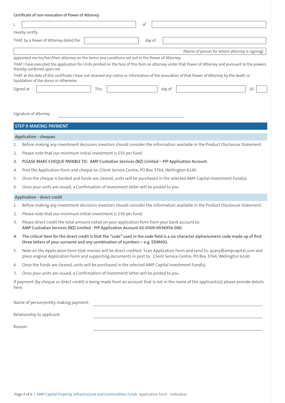|       | Certificate of non-revocation of Power of Attorney                                                                                                                                                                                                                                                                                                                                                                                                                                                                      |
|-------|-------------------------------------------------------------------------------------------------------------------------------------------------------------------------------------------------------------------------------------------------------------------------------------------------------------------------------------------------------------------------------------------------------------------------------------------------------------------------------------------------------------------------|
| Ι,    | оf                                                                                                                                                                                                                                                                                                                                                                                                                                                                                                                      |
|       | Hereby certify:                                                                                                                                                                                                                                                                                                                                                                                                                                                                                                         |
|       | THAT, by a Power of Attorney dated the<br>day of                                                                                                                                                                                                                                                                                                                                                                                                                                                                        |
|       | (Name of person for whom attorney is signing)                                                                                                                                                                                                                                                                                                                                                                                                                                                                           |
|       | appointed me his/her/their attorney on the terms and conditions set out in the Power of Attorney.<br>THAT I have executed the application for Units printed on the face of this form as attorney under that Power of Attorney and pursuant to the powers<br>thereby conferred upon me.<br>THAT at the date of this certificate I have not received any notice or information of the revocation of that Power of Attorney by the death or<br>liquidation of the donor or otherwise.<br>Signed at<br>This<br>day of<br>20 |
|       | Signature of attorney<br><b>STEP 9 MAKING PAYMENT</b>                                                                                                                                                                                                                                                                                                                                                                                                                                                                   |
|       | <b>Application - cheques</b>                                                                                                                                                                                                                                                                                                                                                                                                                                                                                            |
| 1.    | Before making any investment decisions investors should consider the information available in the Product Disclosure Statement.                                                                                                                                                                                                                                                                                                                                                                                         |
| 2.    | Please note that our minimum initial investment is \$50 per fund.                                                                                                                                                                                                                                                                                                                                                                                                                                                       |
| 3.    | PLEASE MAKE CHEQUE PAYABLE TO: AMP Custodian Services (NZ) Limited - PIP Application Account.                                                                                                                                                                                                                                                                                                                                                                                                                           |
| 4.    | Post the Application Form and cheque to: Client Service Centre, PO Box 3764, Wellington 6140.                                                                                                                                                                                                                                                                                                                                                                                                                           |
| 5.    | Once the cheque is banked and funds are cleared, units will be purchased in the selected AMP Capital Investment Fund(s).                                                                                                                                                                                                                                                                                                                                                                                                |
| 6.    | Once your units are issued, a Confirmation of Investment letter will be posted to you.                                                                                                                                                                                                                                                                                                                                                                                                                                  |
|       | Application - direct credit                                                                                                                                                                                                                                                                                                                                                                                                                                                                                             |
| 1.    | Before making any investment decisions investors should consider the information available in the Product Disclosure Statement.                                                                                                                                                                                                                                                                                                                                                                                         |
| 2.    | Please note that our minimum initial investment is \$50 per fund.                                                                                                                                                                                                                                                                                                                                                                                                                                                       |
| 3.    | Please direct credit the total amount noted on your application form from your bank account to:<br>AMP Custodian Services (NZ) Limited - PIP Application Account 02-0500-0936956-000.                                                                                                                                                                                                                                                                                                                                   |
| 4.    | The critical item for the direct credit is that the "code" used in the code field is a six character alphanumeric code made up of first<br>three letters of your surname and any combination of numbers - e.g. EDM001.                                                                                                                                                                                                                                                                                                  |
| 5.    | Note on the Application Form that monies will be direct credited. Scan Application Form and send to: query@ampcapital.com and<br>place original Application Form and supporting documents in post to: Client Service Centre, PO Box 3764, Wellington 6140.                                                                                                                                                                                                                                                              |
| 6.    | Once the funds are cleared, units will be purchased in the selected AMP Capital Investment Fund(s).                                                                                                                                                                                                                                                                                                                                                                                                                     |
| 7.    | Once your units are issued, a Confirmation of Investment letter will be posted to you.                                                                                                                                                                                                                                                                                                                                                                                                                                  |
| here: | If payment (by cheque or direct credit) is being made from an account that is not in the name of the applicants(s) please provide details                                                                                                                                                                                                                                                                                                                                                                               |
|       | Name of person/entity making payment:                                                                                                                                                                                                                                                                                                                                                                                                                                                                                   |
|       | Relationship to applicant:                                                                                                                                                                                                                                                                                                                                                                                                                                                                                              |

Reason: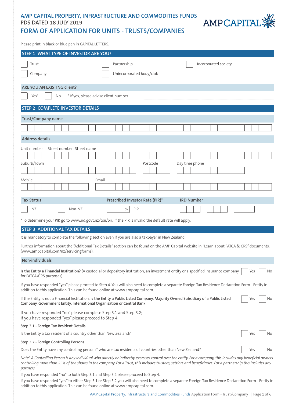# **AMP CAPITAL PROPERTY, INFRASTRUCTURE AND COMMODITIES FUNDS PDS DATED 18 JULY 2019**



# **FORM OF APPLICATION FOR UNITS - TRUSTS/COMPANIES**

Please print in black or blue pen in CAPITAL LETTERS.

| STEP 1 WHAT TYPE OF INVESTOR ARE YOU?                                                                                                                                                                                                                                                                                                                                                                               |                                       |                                                                                                                                                |  |  |  |
|---------------------------------------------------------------------------------------------------------------------------------------------------------------------------------------------------------------------------------------------------------------------------------------------------------------------------------------------------------------------------------------------------------------------|---------------------------------------|------------------------------------------------------------------------------------------------------------------------------------------------|--|--|--|
| Trust                                                                                                                                                                                                                                                                                                                                                                                                               | Partnership                           | Incorporated society                                                                                                                           |  |  |  |
| Company                                                                                                                                                                                                                                                                                                                                                                                                             | Unincorporated body/club              |                                                                                                                                                |  |  |  |
| ARE YOU AN EXISTING client?                                                                                                                                                                                                                                                                                                                                                                                         |                                       |                                                                                                                                                |  |  |  |
| Yes*<br>No                                                                                                                                                                                                                                                                                                                                                                                                          | * If yes, please advise client number |                                                                                                                                                |  |  |  |
| STEP 2 COMPLETE INVESTOR DETAILS                                                                                                                                                                                                                                                                                                                                                                                    |                                       |                                                                                                                                                |  |  |  |
| Trust/Company name                                                                                                                                                                                                                                                                                                                                                                                                  |                                       |                                                                                                                                                |  |  |  |
|                                                                                                                                                                                                                                                                                                                                                                                                                     |                                       |                                                                                                                                                |  |  |  |
| <b>Address details</b>                                                                                                                                                                                                                                                                                                                                                                                              |                                       |                                                                                                                                                |  |  |  |
| Street number Street name<br>Unit number<br>Suburb/Town                                                                                                                                                                                                                                                                                                                                                             | Postcode                              | Day time phone                                                                                                                                 |  |  |  |
| Mobile                                                                                                                                                                                                                                                                                                                                                                                                              | Email                                 |                                                                                                                                                |  |  |  |
| <b>Tax Status</b>                                                                                                                                                                                                                                                                                                                                                                                                   | Prescribed Investor Rate (PIR)*       | <b>IRD Number</b>                                                                                                                              |  |  |  |
| <b>NZ</b><br>Non-NZ                                                                                                                                                                                                                                                                                                                                                                                                 | %<br>PIR                              |                                                                                                                                                |  |  |  |
| * To determine your PIR go to www.ird.govt.nz/toii/pir. If the PIR is invalid the default rate will apply.                                                                                                                                                                                                                                                                                                          |                                       |                                                                                                                                                |  |  |  |
| <b>STEP 3 ADDITIONAL TAX DETAILS</b>                                                                                                                                                                                                                                                                                                                                                                                |                                       |                                                                                                                                                |  |  |  |
| It is mandatory to complete the following section even if you are also a taxpayer in New Zealand.                                                                                                                                                                                                                                                                                                                   |                                       |                                                                                                                                                |  |  |  |
| (www.ampcapital.com/nz/servicingforms).                                                                                                                                                                                                                                                                                                                                                                             |                                       | Further information about the "Additional Tax Details" section can be found on the AMP Capital website in "Learn about FATCA & CRS" documents. |  |  |  |
| Non-individuals                                                                                                                                                                                                                                                                                                                                                                                                     |                                       |                                                                                                                                                |  |  |  |
| Is the Entity a Financial Institution? (A custodial or depository institution, an investment entity or a specified insurance company<br>Yes<br>No<br>for FATCA/CRS purposes)<br>If you have responded "yes" please proceed to Step 4. You will also need to complete a separate Foreign Tax Residence Declaration Form - Entity in<br>addition to this application. This can be found online at www.ampcapital.com. |                                       |                                                                                                                                                |  |  |  |
| If the Entity is not a Financial Institution, is the Entity a Public Listed Company, Majority Owned Subsidiary of a Public Listed<br>Yes<br>No<br>Company, Government Entity, International Organisation or Central Bank                                                                                                                                                                                            |                                       |                                                                                                                                                |  |  |  |
| If you have responded "no" please complete Step 3.1 and Step 3.2;<br>If you have responded "yes" please proceed to Step 4.                                                                                                                                                                                                                                                                                          |                                       |                                                                                                                                                |  |  |  |
| Step 3.1 - Foreign Tax Resident Details                                                                                                                                                                                                                                                                                                                                                                             |                                       |                                                                                                                                                |  |  |  |
| Is the Entity a tax resident of a country other than New Zealand?<br>Yes<br>No                                                                                                                                                                                                                                                                                                                                      |                                       |                                                                                                                                                |  |  |  |
| Step 3.2 - Foreign Controlling Persons                                                                                                                                                                                                                                                                                                                                                                              |                                       |                                                                                                                                                |  |  |  |
| Does the Entity have any controlling persons* who are tax residents of countries other than New Zealand?                                                                                                                                                                                                                                                                                                            |                                       | No<br>Yes                                                                                                                                      |  |  |  |
| Note* A Controlling Person is any individual who directly or indirectly exercises control over the entity. For a company, this includes any beneficial owners<br>controlling more than 25% of the shares in the company. For a Trust, this includes trustees, settlors and beneficiaries. For a partnership this includes any<br>partners.                                                                          |                                       |                                                                                                                                                |  |  |  |

If you have responded "no" to both Step 3.1 and Step 3.2 please proceed to Step 4.

If you have responded "yes" to either Step 3.1 or Step 3.2 you will also need to complete a separate Foreign Tax Residence Declaration Form - Entity in addition to this application. This can be found online at www.ampcapital.com.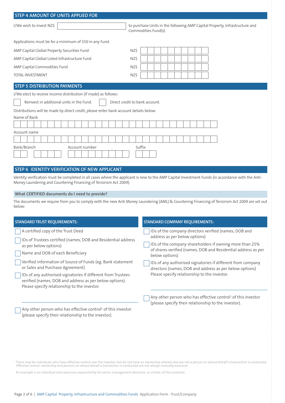| <b>STEP 4 AMOUNT OF UNITS APPLIED FOR</b>                                             |                                                                                                     |  |  |  |  |  |
|---------------------------------------------------------------------------------------|-----------------------------------------------------------------------------------------------------|--|--|--|--|--|
| I/We wish to invest NZ\$                                                              | to purchase Units in the following AMP Capital Property, Infrastructure and<br>Commodities Fund(s). |  |  |  |  |  |
| Applications must be for a minimum of \$50 in any Fund.                               |                                                                                                     |  |  |  |  |  |
| AMP Capital Global Property Securities Fund                                           | NZ\$                                                                                                |  |  |  |  |  |
| AMP Capital Global Listed Infrastructure Fund                                         | NZ\$                                                                                                |  |  |  |  |  |
| AMP Capital Commodities Fund                                                          | NZ\$                                                                                                |  |  |  |  |  |
| <b>TOTAL INVESTMENT</b>                                                               | NZ\$                                                                                                |  |  |  |  |  |
| <b>STEP 5 DISTRIBUTION PAYMENTS</b>                                                   |                                                                                                     |  |  |  |  |  |
| I/We elect to receive income distribution (if made) as follows:                       |                                                                                                     |  |  |  |  |  |
| Reinvest in additional units in the Fund.<br>Direct credit to bank account.           |                                                                                                     |  |  |  |  |  |
| Distributions will be made by direct credit, please enter bank account details below: |                                                                                                     |  |  |  |  |  |
| Name of Bank                                                                          |                                                                                                     |  |  |  |  |  |
|                                                                                       |                                                                                                     |  |  |  |  |  |
| Account name                                                                          |                                                                                                     |  |  |  |  |  |
|                                                                                       |                                                                                                     |  |  |  |  |  |
| Bank/Branch<br>Account number<br>Suffix                                               |                                                                                                     |  |  |  |  |  |
|                                                                                       |                                                                                                     |  |  |  |  |  |
|                                                                                       |                                                                                                     |  |  |  |  |  |
| STEP 6 IDENTITY VERIFICATION OF NEW APPLICANT                                         |                                                                                                     |  |  |  |  |  |

Identity verification must be completed in all cases where the applicant is new to the AMP Capital Investment Funds (in accordance with the Anti-Money Laundering and Countering Financing of Terrorism Act 2009).

### **What CERTIFIED documents do I need to provide?**

The documents we require from you to comply with the new Anti Money Laundering (AML) & Countering Financing of Terrorism Act 2009 are set out below:

| <b>STANDARD TRUST REQUIREMENTS:</b>                                                                                                                                     | <b>STANDARD COMPANY REQUIREMENTS:</b>                                                                                                      |  |  |  |
|-------------------------------------------------------------------------------------------------------------------------------------------------------------------------|--------------------------------------------------------------------------------------------------------------------------------------------|--|--|--|
| A certified copy of the Trust Deed                                                                                                                                      | IDs of the company directors verified (names, DOB and<br>address as per below options)                                                     |  |  |  |
| IDs of Trustees certified (names, DOB and Residential address<br>as per below options)<br>Name and DOB of each Beneficiary                                              | IDs of the company shareholders if owning more than 25%<br>of shares verified (names, DOB and Residential address as per<br>below options) |  |  |  |
| Verified information of Source of Funds (eg. Bank statement<br>or Sales and Purchase Agreement)                                                                         | IDs of any authorised signatories if different from company<br>directors (names, DOB and address as per below options)                     |  |  |  |
| IDs of any authorised signatories if different from Trustees<br>verified (names, DOB and address as per below options).<br>Please specify relationship to the investor. | Please specify relationship to the investor.                                                                                               |  |  |  |
|                                                                                                                                                                         | Any other person who has effective control <sup>1</sup> of this investor<br>(please specify their relationship to the investor).           |  |  |  |
| Any other person who has effective control <sup>1</sup> of this investor<br>(please specify their relationship to the investor).                                        |                                                                                                                                            |  |  |  |

ª There may be individuals who have effective control over the investor, but do not have an ownership interest and are not a person on whose behalf a transaction is conducted.<br>■ Effective control, ownership and persons on

An example is an individual who exercises responsibility for senior management decisions, or similar, of the customer.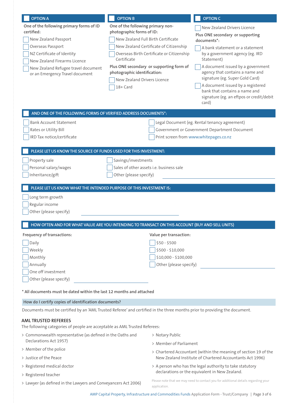| <b>OPTION A</b>                                                                                                            | <b>OPTION B</b>                                                                                                     |                                           | <b>OPTION C</b>                                                                                                                                                                                                                    |  |  |  |
|----------------------------------------------------------------------------------------------------------------------------|---------------------------------------------------------------------------------------------------------------------|-------------------------------------------|------------------------------------------------------------------------------------------------------------------------------------------------------------------------------------------------------------------------------------|--|--|--|
| One of the following primary forms of ID<br>One of the following primary non-                                              |                                                                                                                     |                                           | New Zealand Drivers Licence                                                                                                                                                                                                        |  |  |  |
| certified:                                                                                                                 | photographic forms of ID:<br>New Zealand Full Birth Certificate                                                     |                                           | Plus ONE secondary or supporting                                                                                                                                                                                                   |  |  |  |
| New Zealand Passport<br>Overseas Passport                                                                                  |                                                                                                                     | New Zealand Certificate of Citizenship    | documents*:                                                                                                                                                                                                                        |  |  |  |
| NZ Certificate of Identity                                                                                                 |                                                                                                                     | Overseas Birth Certificate or Citizenship | A bank statement or a statement<br>by a government agency (eg. IRD                                                                                                                                                                 |  |  |  |
| New Zealand Firearms Licence                                                                                               | Certificate                                                                                                         |                                           | Statement)                                                                                                                                                                                                                         |  |  |  |
| New Zealand Refugee travel document<br>or an Emergency Travel document                                                     | Plus ONE secondary or supporting form of<br>photographic identification:<br>New Zealand Drivers Licence<br>18+ Card |                                           | A document issued by a government<br>agency that contains a name and<br>signature (eg. Super Gold Card)<br>A document issued by a registered<br>bank that contains a name and<br>signature (eg. an eftpos or credit/debit<br>card) |  |  |  |
| AND ONE OF THE FOLLOWING FORMS OF VERIFIED ADDRESS DOCUMENTS*:                                                             |                                                                                                                     |                                           |                                                                                                                                                                                                                                    |  |  |  |
| <b>Bank Account Statement</b>                                                                                              |                                                                                                                     |                                           | Legal Document (eg. Rental tenancy agreement)                                                                                                                                                                                      |  |  |  |
| Rates or Utility Bill                                                                                                      |                                                                                                                     |                                           | Government or Government Department Document                                                                                                                                                                                       |  |  |  |
| IRD Tax notice/certificate                                                                                                 | Print screen from www.whitepages.co.nz                                                                              |                                           |                                                                                                                                                                                                                                    |  |  |  |
| PLEASE LET US KNOW THE SOURCE OF FUNDS USED FOR THIS INVESTMENT:                                                           |                                                                                                                     |                                           |                                                                                                                                                                                                                                    |  |  |  |
| Property sale                                                                                                              | Savings/investments                                                                                                 |                                           |                                                                                                                                                                                                                                    |  |  |  |
| Personal salary/wages                                                                                                      | Sales of other assets i.e. business sale                                                                            |                                           |                                                                                                                                                                                                                                    |  |  |  |
| Inheritance/gift                                                                                                           | Other (please specify)                                                                                              |                                           |                                                                                                                                                                                                                                    |  |  |  |
|                                                                                                                            |                                                                                                                     |                                           |                                                                                                                                                                                                                                    |  |  |  |
| PLEASE LET US KNOW WHAT THE INTENDED PURPOSE OF THIS INVESTMENT IS:                                                        |                                                                                                                     |                                           |                                                                                                                                                                                                                                    |  |  |  |
| Long term growth                                                                                                           |                                                                                                                     |                                           |                                                                                                                                                                                                                                    |  |  |  |
| Regular income<br>Other (please specify)                                                                                   |                                                                                                                     |                                           |                                                                                                                                                                                                                                    |  |  |  |
|                                                                                                                            |                                                                                                                     |                                           |                                                                                                                                                                                                                                    |  |  |  |
| HOW OFTEN AND FOR WHAT VALUE ARE YOU INTENDING TO TRANSACT ON THIS ACCOUNT (BUY AND SELL UNITS)                            |                                                                                                                     |                                           |                                                                                                                                                                                                                                    |  |  |  |
| Frequency of transactions:                                                                                                 |                                                                                                                     | Value per transaction:                    |                                                                                                                                                                                                                                    |  |  |  |
| Daily                                                                                                                      |                                                                                                                     | $$50 - $500$                              |                                                                                                                                                                                                                                    |  |  |  |
| Weekly                                                                                                                     |                                                                                                                     | \$500 - \$10,000                          |                                                                                                                                                                                                                                    |  |  |  |
| Monthly                                                                                                                    |                                                                                                                     | \$10,000 - \$100,000                      |                                                                                                                                                                                                                                    |  |  |  |
| Annually<br>One off investment                                                                                             |                                                                                                                     | Other (please specify)                    |                                                                                                                                                                                                                                    |  |  |  |
| Other (please specify)                                                                                                     |                                                                                                                     |                                           |                                                                                                                                                                                                                                    |  |  |  |
| * All documents must be dated within the last 12 months and attached                                                       |                                                                                                                     |                                           |                                                                                                                                                                                                                                    |  |  |  |
|                                                                                                                            |                                                                                                                     |                                           |                                                                                                                                                                                                                                    |  |  |  |
| How do I certify copies of identification documents?                                                                       |                                                                                                                     |                                           |                                                                                                                                                                                                                                    |  |  |  |
| Documents must be certified by an 'AML Trusted Referee' and certified in the three months prior to providing the document. |                                                                                                                     |                                           |                                                                                                                                                                                                                                    |  |  |  |
| <b>AML TRUSTED REFEREES</b><br>The following categories of people are acceptable as AML Trusted Referees:                  |                                                                                                                     |                                           |                                                                                                                                                                                                                                    |  |  |  |
| > Commonwealth representative (as defined in the Oaths and                                                                 |                                                                                                                     | > Notary Public                           |                                                                                                                                                                                                                                    |  |  |  |
| Declarations Act 1957)                                                                                                     |                                                                                                                     | > Member of Parliament                    |                                                                                                                                                                                                                                    |  |  |  |
|                                                                                                                            | > Member of the police                                                                                              |                                           | > Chartered Accountant (within the meaning of section 19 of the<br>New Zealand Institute of Chartered Accountants Act 1996)                                                                                                        |  |  |  |
| > Justice of the Peace                                                                                                     |                                                                                                                     |                                           |                                                                                                                                                                                                                                    |  |  |  |
| > Registered medical doctor                                                                                                |                                                                                                                     |                                           | > A person who has the legal authority to take statutory<br>declarations or the equivalent in New Zealand.                                                                                                                         |  |  |  |
| > Registered teacher                                                                                                       |                                                                                                                     |                                           | Please note that we may need to contact you for additional details regarding your                                                                                                                                                  |  |  |  |
| > Lawyer (as defined in the Lawyers and Conveyancers Act 2006)                                                             |                                                                                                                     | application.                              |                                                                                                                                                                                                                                    |  |  |  |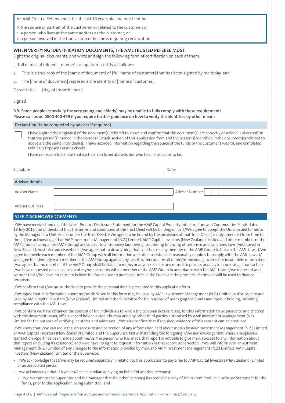An AML Trusted Referee must be at least 16 years old and must not be:

- > the spouse or partner of the customer; or related to the customer; or
- > a person who lives at the same address as the customer; or

a person involved in the transaction or business requiring certification.

#### **WHEN VERIFYING IDENTIFICATION DOCUMENTS, THE AML TRUSTED REFEREE MUST:**

Sight the original documents, and write and sign the following form of certification on each of them:

I, [full names of referee], [referee's occupation], certify as follows:

- 1. This is a true copy of the [name of document] of [full name of customer] that has been sighted by me today, and
- 2. The [name of document] represents the identity of [name of customer].

Dated this  $\begin{bmatrix} 1 & 1 \\ 0 & 1 \end{bmatrix}$  day of  $\begin{bmatrix} 1 & 1 \\ 0 & 1 \end{bmatrix}$  [year]

#### Signed

**NB: Some people (especially the very young and elderly) may be unable to fully comply with these requirements. Please call us on 0800 400 499 if you require further guidance on how to verify the identities by other means**.

#### **Declaration (to be completed by adviser if required)**

I have sighted the original(s) of the document(s) referred to above and confirm that the document(s) are correctly described. I also confirm that the person(s) named in the Personal Details section of this application form and the person(s) identified in the document(s) referred to above are the same individual(s). I have recorded information regarding the source of the funds or the customer's wealth, and completed Politically Exposed Persons checks.

I have no reason to believe that each person listed above is not who he or she claims to be.

| Signature               | Date:          |  |  |
|-------------------------|----------------|--|--|
| Adviser details         |                |  |  |
| Adviser Name            | Adviser Number |  |  |
| <b>Adviser Business</b> |                |  |  |

### **STEP 7 ACKNOWLEDGEMENTS**

I/We have received and read the latest Product Disclosure Statement for the AMP Capital Property, Infrastructure and Commodities Funds dated 18 July 2019 and understand that the terms and conditions of the Trust Deed will be binding on us. I/We agree to accept the Units issued to me/us by the Manager as a Unit Holder under the Trust Deed. I/We agree to be bound by the provisions of that Trust Deed (as duly amended from time to time). I/we acknowledge that AMP Investment Management (N.Z.) Limited, AMP Capital Investors (New Zealand) Limited and other members of the AMP group of companies (AMP Group) are subject to anti-money laundering, countering financing of terrorism and sanctions laws (AML Laws) in New Zealand, Australia and elsewhere. I/we agree not to do anything that could cause any member of the AMP Group to breach the AML Laws. I/we agree to provide each member of the AMP Group with all information and other assistance it reasonably requires to comply with the AML Laws. I/ we agree to indemnify each member of the AMP Group against any loss it suffers as a result of me/us providing incorrect or incomplete information. I/we agree that no member of the AMP Group shall be liable to me/us or anyone else for any refusal to process or delay in processing a transaction I/we have requested or a suspension of my/our accounts with a member of the AMP Group in accordance with the AML Laws. I/we represent and warrant that I/We have no cause to believe the funds used to purchase Units in the Funds are the proceeds of crime or will be used to finance terrorism.

I/We confirm that I/we are authorised to provide the personal details presented in this application form.

I/We agree that all information about me/us disclosed in this form may be used by AMP Investment Management (N.Z.) Limited or disclosed to and used by AMP Capital Investors (New Zealand) Limited and the Supervisor for the purpose of managing the Funds and my/our holding, including compliance with the AML Laws.

I/We confirm we have obtained the consent of the individuals to which the personal details relate, for this information to be passed to and checked with the document issuer, official record holder, a credit bureau and any other third parties authorised by AMP Investment Management (NZ) Limited for the purpose of verifying identities and addresses. I/We also confirm that if required, evidence of this consent can be produced.

I/We know that I/we can request such access to and correction of any information held about me/us by AMP Investment Management (N.Z.) Limited or AMP Capital Investors (New Zealand) Limited and the Supervisor. Notwithstanding the foregoing, I/we acknowledge that where a suspicious transaction report has been made about me/us, the person who has made that report is not able to give me/us access to any information about that report (including its existence) and I/we have no right to request information in that report be corrected. I/We will inform AMP Investment Management (N.Z.) Limited of any changes to the information provided by me/us to AMP Investment Management (N.Z.) Limited, AMP Capital Investors (New Zealand) Limited or the Supervisor.

- I/We acknowledge that I/we may be required separately in relation to this application to pay a fee to AMP Capital Investors (New Zealand) Limited or an associated person.
- I/we acknowledge that if I/we am/are a custodian applying on behalf of another person(s):
	- I/we warrant to the Supervisor and the Manager that the other person(s) has received a copy of the current Product Disclosure Statement for the funds, prior to this application being submitted; and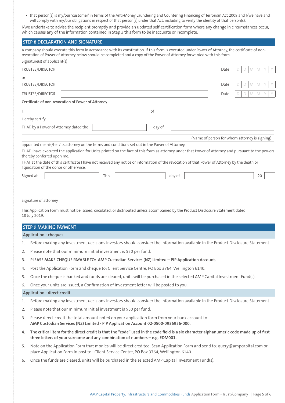• that person(s) is my/our 'customer' in terms of the Anti-Money Laundering and Countering Financing of Terrorism Act 2009 and I/we have and will comply with my/our obligations in respect of that person(s) under that Act, including to verify the identity of that person(s).

I/we undertake to advise the recipient promptly and provide an updated self-certification form where any change in circumstances occur, which causes any of the information contained in Step 3 this form to be inaccurate or incomplete.

# **STEP 8 DECLARATION AND SIGNATURE** A company should execute this form in accordance with its constitution. If this form is executed under Power of Attorney, the certificate of nonrevocation of Power of Attorney below should be completed and a copy of the Power of Attorney forwarded with this form. Signature(s) of applicant(s) TRUSTEE/DIRECTOR **Date Date Date Distribution of the Distribution of the Distribution of Date Date Date Date D** or TRUSTEE/DIRECTOR Date D D M M Y Y TRUSTEE/DIRECTOR Date D D M M Y Y **Certificate of non-revocation of Power of Attorney** I, some of the contract of  $\sim$  of  $\sim$ Hereby certify: THAT, by a Power of Attorney dated the day of (Name of person for whom attorney is signing) appointed me his/her/its attorney on the terms and conditions set out in the Power of Attorney. THAT I have executed the application for Units printed on the face of this form as attorney under that Power of Attorney and pursuant to the powers thereby conferred upon me. THAT at the date of this certificate I have not received any notice or information of the revocation of that Power of Attorney by the death or liquidation of the donor or otherwise. Signed at day of the control of the control of the control of the control of 20 and 20 and 20 and 20 and 20 and 20 and 20 and 20 and 20 and 20 and 20 and 20 and 20 and 20 and 20 and 20 and 20 and 20 and 20 and 20 and 20 an Signature of attorney This Application Form must not be issued, circulated, or distributed unless accompanied by the Product Disclosure Statement dated 18 July 2019. **STEP 9 MAKING PAYMENT Application - cheques** 1. Before making any investment decisions investors should consider the information available in the Product Disclosure Statement.

- 2. Please note that our minimum initial investment is \$50 per fund.
- **3. PLEASE MAKE CHEQUE PAYABLE TO: AMP Custodian Services (NZ) Limited PIP Application Account.**
- 4. Post the Application Form and cheque to: Client Service Centre, PO Box 3764, Wellington 6140.
- 5. Once the cheque is banked and funds are cleared, units will be purchased in the selected AMP Capital Investment Fund(s).

6. Once your units are issued, a Confirmation of Investment letter will be posted to you.

#### **Application - direct credit**

- 1. Before making any investment decisions investors should consider the information available in the Product Disclosure Statement.
- 2. Please note that our minimum initial investment is \$50 per fund.
- 3. Please direct credit the total amount noted on your application form from your bank account to: **AMP Custodian Services (NZ) Limited - PIP Application Account 02-0500-0936956-000.**
- **4. The critical item for the direct credit is that the "code" used in the code field is a six character alphanumeric code made up of first three letters of your surname and any combination of numbers – e.g. EDM001.**
- 5. Note on the Application Form that monies will be direct credited. Scan Application Form and send to: query@ampcapital.com or; place Application Form in post to: Client Service Centre, PO Box 3764, Wellington 6140.
- 6. Once the funds are cleared, units will be purchased in the selected AMP Capital Investment Fund(s).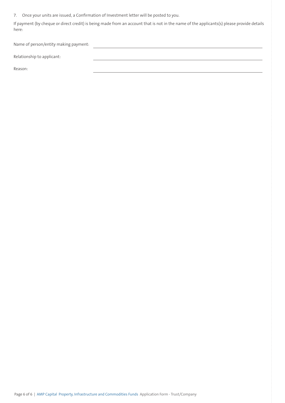7. Once your units are issued, a Confirmation of Investment letter will be posted to you.

If payment (by cheque or direct credit) is being made from an account that is not in the name of the applicants(s) please provide details here:

Name of person/entity making payment:

Relationship to applicant:

Reason: